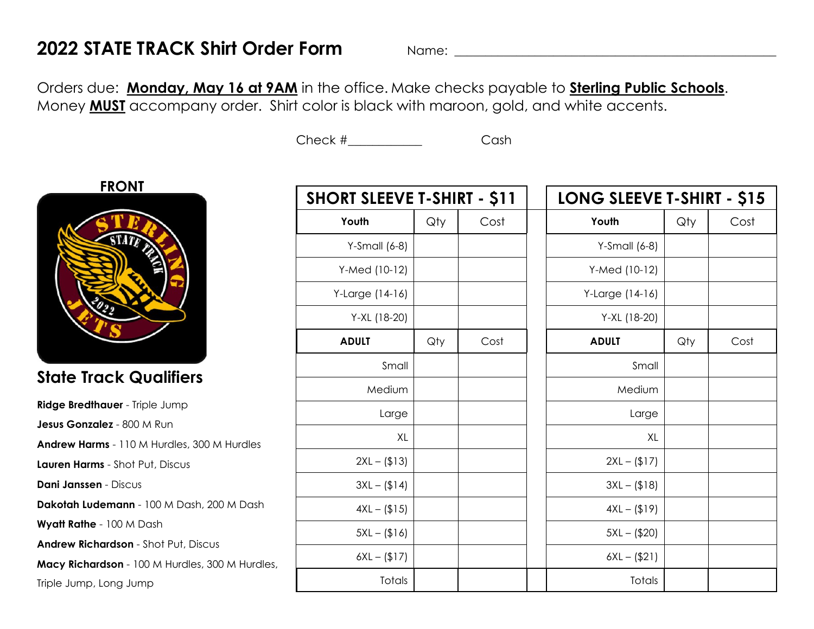## **2022 STATE TRACK Shirt Order Form** Name: \_\_\_\_\_\_\_\_\_\_\_\_\_\_\_\_\_\_\_\_\_\_\_\_\_\_\_\_\_\_\_\_\_\_\_\_\_\_\_\_\_\_\_\_\_\_\_\_\_\_\_\_

Orders due: **Monday, May 16 at 9AM** in the office. Make checks payable to **Sterling Public Schools**. Money **MUST** accompany order. Shirt color is black with maroon, gold, and white accents.

Check # Cash



## **State Track Qualifiers**

**Ridge Bredthauer** - Triple Jump **Jesus Gonzalez** - 800 M Run **Andrew Harms** - 110 M Hurdles, 300 M Hurdles **Lauren Harms** - Shot Put, Discus **Dani Janssen** - Discus **Dakotah Ludemann** - 100 M Dash, 200 M Dash **Wyatt Rathe** - 100 M Dash **Andrew Richardson** - Shot Put, Discus **Macy Richardson** - 100 M Hurdles, 300 M Hurdles, Triple Jump, Long Jump

| <b>SHORT SLEEVE T-SHIRT - \$11</b> |     |      |  | LONG SLEEVE T-SHIRT - \$15 |     |      |  |
|------------------------------------|-----|------|--|----------------------------|-----|------|--|
| Youth                              | Qty | Cost |  | Youth                      | Qty | Cost |  |
| $Y-Small (6-8)$                    |     |      |  | $Y-Small (6-8)$            |     |      |  |
| Y-Med (10-12)                      |     |      |  | Y-Med (10-12)              |     |      |  |
| Y-Large (14-16)                    |     |      |  | Y-Large (14-16)            |     |      |  |
| Y-XL (18-20)                       |     |      |  | Y-XL (18-20)               |     |      |  |
| <b>ADULT</b>                       | Qty | Cost |  | <b>ADULT</b>               | Qty | Cost |  |
| Small                              |     |      |  | Small                      |     |      |  |
| Medium                             |     |      |  | Medium                     |     |      |  |
| Large                              |     |      |  | Large                      |     |      |  |
| XL                                 |     |      |  | XL                         |     |      |  |
| $2XL - (13)$                       |     |      |  | $2XL - (117)$              |     |      |  |
| $3XL - (114)$                      |     |      |  | $3XL - (18)$               |     |      |  |
| $4XL - (1515)$                     |     |      |  | $4XL - (19)$               |     |      |  |
| $5XL - (16)$                       |     |      |  | $5XL - ($20)$              |     |      |  |
| $6XL - (117)$                      |     |      |  | $6XL - ($21)$              |     |      |  |
| Totals                             |     |      |  | Totals                     |     |      |  |
|                                    |     |      |  |                            |     |      |  |

| <b>LONG SLEEVE T-SHIRT - \$15</b> |     |      |  |  |  |
|-----------------------------------|-----|------|--|--|--|
| Youth                             | Qty | Cost |  |  |  |
| $Y-Small (6-8)$                   |     |      |  |  |  |
| Y-Med (10-12)                     |     |      |  |  |  |
| Y-Large (14-16)                   |     |      |  |  |  |
| Y-XL (18-20)                      |     |      |  |  |  |
| <b>ADULT</b>                      | Qty | Cost |  |  |  |
| Small                             |     |      |  |  |  |
| Medium                            |     |      |  |  |  |
| Large                             |     |      |  |  |  |
| XL                                |     |      |  |  |  |
| $2XL - (117)$                     |     |      |  |  |  |
| $3XL - (1818)$                    |     |      |  |  |  |
| $4XL - (119)$                     |     |      |  |  |  |
| $5XL - ($20)$                     |     |      |  |  |  |
| $6XL - ($21)$                     |     |      |  |  |  |
| Totals                            |     |      |  |  |  |